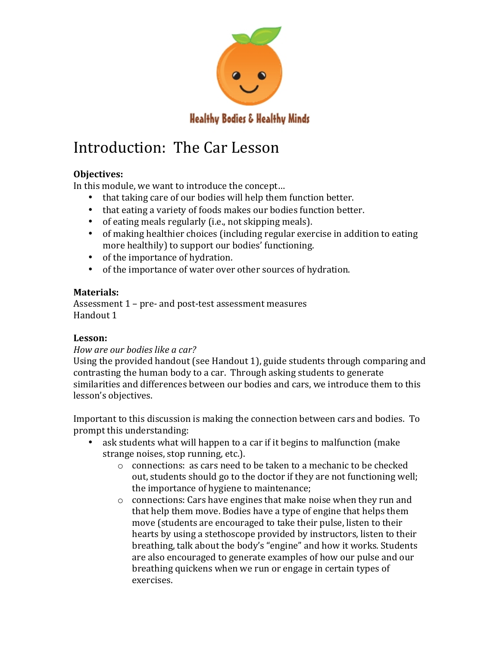

# **Healthy Bodies & Healthy Minds**

# Introduction: The Car Lesson

# **Objectives:**

In this module, we want to introduce the concept...

- that taking care of our bodies will help them function better.
- that eating a variety of foods makes our bodies function better.
- of eating meals regularly (i.e., not skipping meals).
- of making healthier choices (including regular exercise in addition to eating more healthily) to support our bodies' functioning.
- of the importance of hydration.
- of the importance of water over other sources of hydration.

# **Materials:**

Assessment  $1$  – pre- and post-test assessment measures Handout 1

# **Lesson:**

# *How are our bodies like a car?*

Using the provided handout (see Handout 1), guide students through comparing and contrasting the human body to a car. Through asking students to generate similarities and differences between our bodies and cars, we introduce them to this lesson's objectives.

Important to this discussion is making the connection between cars and bodies. To prompt this understanding:

- ask students what will happen to a car if it begins to malfunction (make strange noises, stop running, etc.).
	- $\circ$  connections: as cars need to be taken to a mechanic to be checked out, students should go to the doctor if they are not functioning well; the importance of hygiene to maintenance;
	- $\circ$  connections: Cars have engines that make noise when they run and that help them move. Bodies have a type of engine that helps them move (students are encouraged to take their pulse, listen to their hearts by using a stethoscope provided by instructors, listen to their breathing, talk about the body's "engine" and how it works. Students are also encouraged to generate examples of how our pulse and our breathing quickens when we run or engage in certain types of exercises.